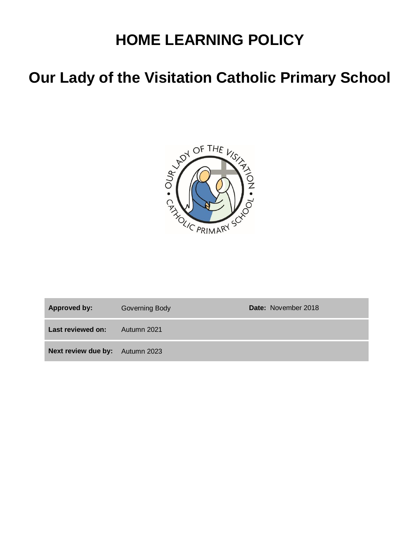# **HOME LEARNING POLICY**

# **Our Lady of the Visitation Catholic Primary School**



| <b>Approved by:</b>                    | <b>Governing Body</b> | <b>Date:</b> November 2018 |
|----------------------------------------|-----------------------|----------------------------|
| Last reviewed on:                      | Autumn 2021           |                            |
| <b>Next review due by:</b> Autumn 2023 |                       |                            |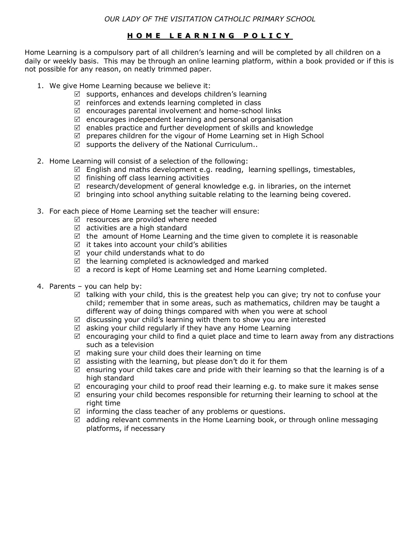### **H O M E L E A R N I N G P O L I C Y**

Home Learning is a compulsory part of all children's learning and will be completed by all children on a daily or weekly basis. This may be through an online learning platform, within a book provided or if this is not possible for any reason, on neatly trimmed paper.

- 1. We give Home Learning because we believe it:
	- $\boxtimes$  supports, enhances and develops children's learning
	- $\boxtimes$  reinforces and extends learning completed in class
	- $\boxtimes$  encourages parental involvement and home-school links
	- $\boxtimes$  encourages independent learning and personal organisation
	- $\boxtimes$  enables practice and further development of skills and knowledge
	- $\boxtimes$  prepares children for the vigour of Home Learning set in High School
	- $\boxtimes$  supports the delivery of the National Curriculum..
- 2. Home Learning will consist of a selection of the following:
	- $\boxtimes$  English and maths development e.g. reading, learning spellings, timestables,
	- $\boxtimes$  finishing off class learning activities
	- $\triangledown$  research/development of general knowledge e.g. in libraries, on the internet
	- $\boxtimes$  bringing into school anything suitable relating to the learning being covered.
- 3. For each piece of Home Learning set the teacher will ensure:
	- $\boxtimes$  resources are provided where needed
	- $\boxtimes$  activities are a high standard
	- $\boxtimes$  the amount of Home Learning and the time given to complete it is reasonable
	- $\boxtimes$  it takes into account your child's abilities
	- $\boxtimes$  your child understands what to do
	- $\boxtimes$  the learning completed is acknowledged and marked
	- $\boxtimes$  a record is kept of Home Learning set and Home Learning completed.
- 4. Parents you can help by:
	- $\boxtimes$  talking with your child, this is the greatest help you can give; try not to confuse your child; remember that in some areas, such as mathematics, children may be taught a different way of doing things compared with when you were at school
	- $\boxtimes$  discussing your child's learning with them to show you are interested
	- $\boxtimes$  asking your child regularly if they have any Home Learning
	- $\boxtimes$  encouraging your child to find a quiet place and time to learn away from any distractions such as a television
	- $\boxtimes$  making sure your child does their learning on time
	- $\boxtimes$  assisting with the learning, but please don't do it for them
	- $\boxtimes$  ensuring your child takes care and pride with their learning so that the learning is of a high standard
	- $\boxtimes$  encouraging your child to proof read their learning e.g. to make sure it makes sense
	- $\boxtimes$  ensuring your child becomes responsible for returning their learning to school at the right time
	- $\boxtimes$  informing the class teacher of any problems or questions.
	- $\boxtimes$  adding relevant comments in the Home Learning book, or through online messaging platforms, if necessary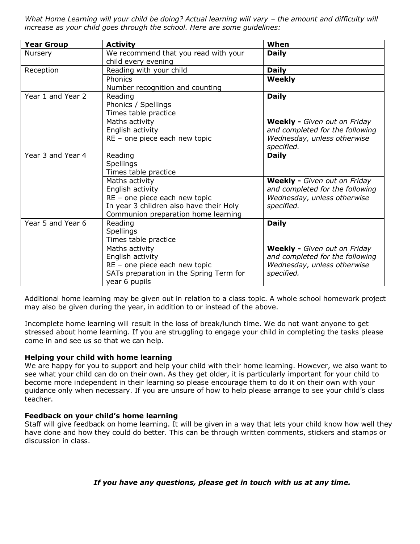What Home Learning will your child be doing? Actual learning will vary - the amount and difficulty will *increase as your child goes through the school. Here are some guidelines:*

| <b>Year Group</b> | <b>Activity</b>                                                                                                                                       | When                                                                                                                |
|-------------------|-------------------------------------------------------------------------------------------------------------------------------------------------------|---------------------------------------------------------------------------------------------------------------------|
| Nursery           | We recommend that you read with your<br>child every evening                                                                                           | <b>Daily</b>                                                                                                        |
| Reception         | Reading with your child                                                                                                                               | <b>Daily</b>                                                                                                        |
|                   | Phonics<br>Number recognition and counting                                                                                                            | <b>Weekly</b>                                                                                                       |
| Year 1 and Year 2 | Reading<br>Phonics / Spellings<br>Times table practice                                                                                                | <b>Daily</b>                                                                                                        |
|                   | Maths activity<br>English activity<br>RE - one piece each new topic                                                                                   | Weekly - Given out on Friday<br>and completed for the following<br>Wednesday, unless otherwise<br>specified.        |
| Year 3 and Year 4 | Reading<br><b>Spellings</b><br>Times table practice                                                                                                   | <b>Daily</b>                                                                                                        |
|                   | Maths activity<br>English activity<br>RE - one piece each new topic<br>In year 3 children also have their Holy<br>Communion preparation home learning | <b>Weekly -</b> Given out on Friday<br>and completed for the following<br>Wednesday, unless otherwise<br>specified. |
| Year 5 and Year 6 | Reading<br><b>Spellings</b><br>Times table practice                                                                                                   | <b>Daily</b>                                                                                                        |
|                   | Maths activity<br>English activity<br>RE - one piece each new topic<br>SATs preparation in the Spring Term for<br>year 6 pupils                       | <b>Weekly -</b> Given out on Friday<br>and completed for the following<br>Wednesday, unless otherwise<br>specified. |

Additional home learning may be given out in relation to a class topic. A whole school homework project may also be given during the year, in addition to or instead of the above.

Incomplete home learning will result in the loss of break/lunch time. We do not want anyone to get stressed about home learning. If you are struggling to engage your child in completing the tasks please come in and see us so that we can help.

#### **Helping your child with home learning**

We are happy for you to support and help your child with their home learning. However, we also want to see what your child can do on their own. As they get older, it is particularly important for your child to become more independent in their learning so please encourage them to do it on their own with your guidance only when necessary. If you are unsure of how to help please arrange to see your child's class teacher.

#### **Feedback on your child's home learning**

Staff will give feedback on home learning. It will be given in a way that lets your child know how well they have done and how they could do better. This can be through written comments, stickers and stamps or discussion in class.

### *If you have any questions, please get in touch with us at any time.*